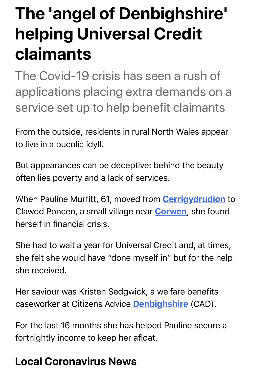## **The 'angel of Denbighshire' helping Universal Credit claimants**

The Covid-19 crisis has seen a rush of applications placing extra demands on a service set up to help benefit claimants

From the outside, residents in rural North Wales appear to live in a bucolic idyll.

But appearances can be deceptive: behind the beauty often lies poverty and a lack of services.

When Pauline Murfitt, 61, moved from **Cerrigydrudion** to Clawdd Poncen, a small village near **Corwen**[, she found](https://www.dailypost.co.uk/all-about/cerrigydrudion) herself in financial crisis.

She had to wait a year for Universal Credit and, at times, she felt she would have "done myself in" but for the help she received.

Her saviour was Kristen Sedgwick, a welfare benefits caseworker at Citizens Advice **Denbighshire** (CAD).

For the last 16 months she ha[s helped Pauline](https://www.dailypost.co.uk/all-about/denbighshire) secure a fortnightly income to keep her afloat.

## **Local Coronavirus News**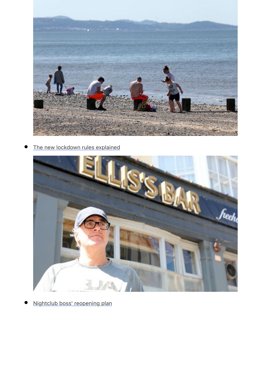

[The new lockdown rules explained](https://www.dailypost.co.uk/news/north-wales-news/what-lockdown-changes-mean-travel-18335550)  $\bullet$ 



[Nightclub boss' reopening plan](https://www.dailypost.co.uk/news/north-wales-news/nightclub-boss-incredible-plan-make-18348044)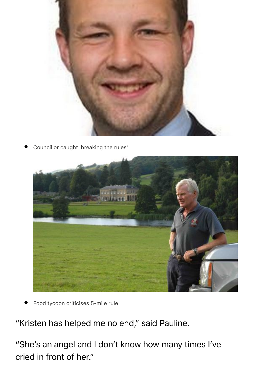

[Councillor caught 'breaking the rules'](https://www.dailypost.co.uk/news/north-wales-news/councillor-apologises-breaking-rules-lockdown-18343534)



Food tycoon criticises 5-mile rule

"Kri[sten has helped me no end," said Pauline.](https://www.dailypost.co.uk/news/local-news/coronavirus-covid-rhug-wales-food-18354004)

"She's an angel and I don't know how many times I've cried in front of her."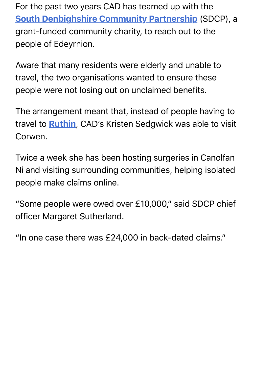South Denbighshire Community Partnership (SDCP), a [grant-funded community charity, to reach out to](https://www.dailypost.co.uk/news/local-news/corwen-renewable-energy-hydro-electricity-17505122) the people of Edeyrnion.

Aware that many residents were elderly and unable to travel, the two organisations wanted to ensure these people were not losing out on unclaimed benefits.

The arrangement meant that, instead of people having to travel to **Ruthin**, CAD's Kristen Sedgwick was able to visit Corwen.

Twice a week she has been hosting surgeries in Canolfan Ni and visiting surrounding communities, helping isolated people make claims online.

"Some people were owed over £10,000," said SDCP chief officer Margaret Sutherland.

"In one case there was £24,000 in back-dated claims."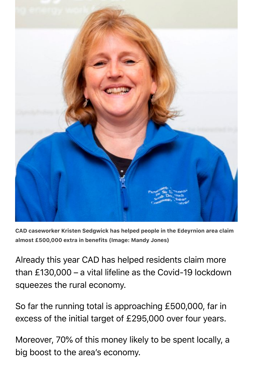

CAD caseworker Kristen Sedgwick has helped people in the Edeyrnion area claim almost £500,000 extra in benefits (Image: Mandy Jones)

Already this year CAD has helped residents claim more than £130,000 – a vital lifeline as the Covid-19 lockdown squeezes the rural economy.

So far the running total is approaching £500,000, far in excess of the initial target of £295,000 over four years.

Moreover, 70% of this money likely to be spent locally, a big boost to the area's economy.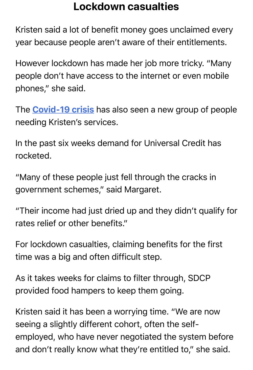Kristen said a lot of benefit money goes unclaimed every year because people aren't aware of their entitlements.

However lockdown has made her job more tricky. "Many people don't have access to the internet or even mobile phones," she said.

The **Covid-19 crisis** has also seen a new group of people nee[ding Kristen's ser](https://www.dailypost.co.uk/all-about/coronavirus)vices.

In the past six weeks demand for Universal Credit has rocketed.

"Many of these people just fell through the cracks in government schemes," said Margaret.

"Their income had just dried up and they didn't qualify for rates relief or other benefits."

For lockdown casualties, claiming benefits for the first time was a big and often difficult step.

As it takes weeks for claims to filter through, SDCP provided food hampers to keep them going.

Kristen said it has been a worrying time. "We are now seeing a slightly different cohort, often the selfemployed, who have never negotiated the system before and don't really know what they're entitled to," she said.